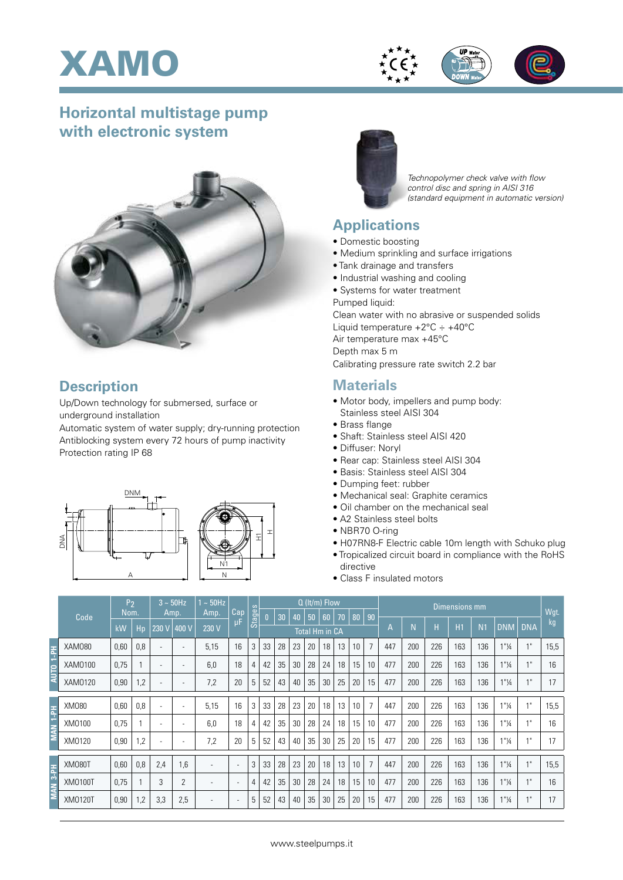



## **Horizontal multistage pump with electronic system**



## **Description**

Up/Down technology for submersed, surface or underground installation

Automatic system of water supply; dry-running protection Antiblocking system every 72 hours of pump inactivity Protection rating IP 68





*Technopolymer check valve with flow control disc and spring in AISI 316 (standard equipment in automatic version)*

## **Applications**

- Domestic boosting
- Medium sprinkling and surface irrigations
- Tank drainage and transfers
- Industrial washing and cooling
- Systems for water treatment
- Pumped liquid:

Clean water with no abrasive or suspended solids Liquid temperature  $+2^{\circ}$ C  $\div$   $+40^{\circ}$ C Air temperature max +45°C Depth max 5 m Calibrating pressure rate switch 2.2 bar

## **Materials**

- Motor body, impellers and pump body: Stainless steel AISI 304
- Brass flange
- Shaft: Stainless steel AISI 420
- Diffuser: Noryl
- Rear cap: Stainless steel AISI 304
- Basis: Stainless steel AISI 304
- Dumping feet: rubber
- Mechanical seal: Graphite ceramics
- Oil chamber on the mechanical seal
- A2 Stainless steel bolts
- NBR70 O-ring
- H07RN8-F Electric cable 10m length with Schuko plug
- Tropicalized circuit board in compliance with the RoHS directive
- Class F insulated motors

|                     | Code           | P <sub>2</sub><br>Nom. |     | $3 \sim 50$ Hz<br>Amp.   |                          | $1 \sim 50$ Hz<br>Amp. | Cap                      | Stages | $Q$ (It/m) Flow       |    |    |    |    |    |    |                | Dimensions mm |     |     |     |                |                                  |                 |      |
|---------------------|----------------|------------------------|-----|--------------------------|--------------------------|------------------------|--------------------------|--------|-----------------------|----|----|----|----|----|----|----------------|---------------|-----|-----|-----|----------------|----------------------------------|-----------------|------|
|                     |                |                        |     |                          |                          |                        |                          |        | $\mathbf{0}$          | 30 | 40 | 50 | 60 | 70 | 80 | 90             |               |     |     |     |                |                                  |                 | Wgt. |
|                     |                | kW                     | Hp  | $230 \sqrt{ }$           | 400 V                    | 230 V                  | μF                       |        | <b>Total Hm in CA</b> |    |    |    |    |    |    |                | А             | N   | Н   | H1  | N <sub>1</sub> | <b>DNM</b>                       | <b>DNA</b>      | kg   |
| Hd-t<br>AUTO        | XAM080         | 0,60                   | 0,8 | ٠                        | $\overline{\phantom{0}}$ | 5,15                   | 16                       | 3      | 33                    | 28 | 23 | 20 | 18 | 13 | 10 | $\overline{7}$ | 447           | 200 | 226 | 163 | 136            | 1"14                             | 4H              | 15,5 |
|                     | XAM0100        | 0,75                   |     | ٠                        | $\overline{\phantom{a}}$ | 6,0                    | 18                       | 4      | 42                    | 35 | 30 | 28 | 24 | 18 | 15 | 10             | 477           | 200 | 226 | 163 | 136            | 1"14                             | $4$ II          | 16   |
|                     | XAM0120        | 0,90                   | 1,2 | ٠                        | $\overline{\phantom{a}}$ | 7,2                    | 20                       | 5      | 52                    | 43 | 40 | 35 | 30 | 25 | 20 | 15             | 477           | 200 | 226 | 163 | 136            | $1"$ <sup>1</sup> / <sub>4</sub> | 4H              | 17   |
|                     |                |                        |     |                          |                          |                        |                          |        |                       |    |    |    |    |    |    |                |               |     |     |     |                |                                  |                 |      |
| <b>MAN 1-PH</b>     | XM080          | 0,60                   | 0,8 | ٠                        | $\overline{\phantom{0}}$ | 5,15                   | 16                       | 3      | 33                    | 28 | 23 | 20 | 18 | 13 | 10 | $\overline{7}$ | 447           | 200 | 226 | 163 | 136            | $1"$ <sup>1</sup> / <sub>4</sub> | 4 <sub>ii</sub> | 15,5 |
|                     | XM0100         | 0,75                   |     | $\overline{\phantom{a}}$ | $\overline{\phantom{0}}$ | 6,0                    | 18                       | 4      | 42                    | 35 | 30 | 28 | 24 | 18 | 15 | 10             | 477           | 200 | 226 | 163 | 136            | 1"14                             | 4 <sub>ii</sub> | 16   |
|                     | XM0120         | 0,90                   | 1,2 | ۰                        | $\overline{\phantom{a}}$ | 7,2                    | 20                       | 5      | 52                    | 43 | 40 | 35 | 30 | 25 | 20 | 15             | 477           | 200 | 226 | 163 | 136            | 1"1/4                            |                 | 17   |
|                     |                |                        |     |                          |                          |                        |                          |        |                       |    |    |    |    |    |    |                |               |     |     |     |                |                                  |                 |      |
| MAN <sub>3-PH</sub> | <b>XM080T</b>  | 0,60                   | 0,8 | 2,4                      | 1.6                      |                        | $\overline{a}$           | 3      | 33                    | 28 | 23 | 20 | 18 | 13 | 10 | $\overline{7}$ | 447           | 200 | 226 | 163 | 136            | 1"14                             | 4 <sub>ii</sub> | 15,5 |
|                     | <b>XM0100T</b> | 0,75                   |     | 3                        | 2                        |                        | $\overline{\phantom{a}}$ | 4      | 42                    | 35 | 30 | 28 | 24 | 18 | 15 | 10             | 477           | 200 | 226 | 163 | 136            | $1"$ <sup>1</sup> / <sub>4</sub> |                 | 16   |
|                     | XM0120T        | 0,90                   | 1,2 | 3,3                      | 2,5                      |                        | $\overline{a}$           | 5      | 52                    | 43 | 40 | 35 | 30 | 25 | 20 | 15             | 477           | 200 | 226 | 163 | 136            | 1"1/4                            | 4 <sub>ii</sub> | 17   |